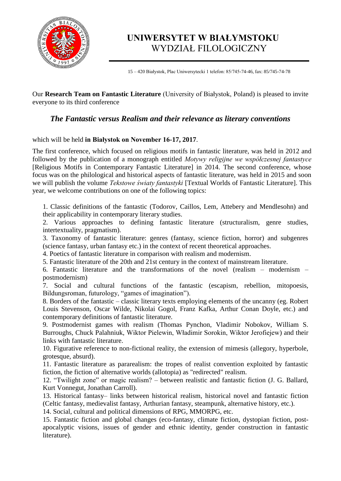

# **UNIWERSYTET W BIAŁYMSTOKU** WYDZIAŁ FILOLOGICZNY

15 – 420 Białystok, Plac Uniwersytecki 1 telefon: 85/745-74-46, fax: 85/745-74-78

Our **Research Team on Fantastic Literature** (University of Białystok, Poland) is pleased to invite everyone to its third conference

# *The Fantastic versus Realism and their relevance as literary conventions*

#### which will be held **in Białystok on November 16-17, 2017**.

The first conference, which focused on religious motifs in fantastic literature, was held in 2012 and followed by the publication of a monograph entitled *Motywy religijne we współczesnej fantastyce* [Religious Motifs in Contemporary Fantastic Literature] in 2014. The second conference, whose focus was on the philological and historical aspects of fantastic literature, was held in 2015 and soon we will publish the volume *Tekstowe światy fantastyki* [Textual Worlds of Fantastic Literature]. This year, we welcome contributions on one of the following topics:

1. Classic definitions of the fantastic (Todorov, Caillos, Lem, Attebery and Mendlesohn) and their applicability in contemporary literary studies.

2. Various approaches to defining fantastic literature (structuralism, genre studies, intertextuality, pragmatism).

3. Taxonomy of fantastic literature: genres (fantasy, science fiction, horror) and subgenres (science fantasy, urban fantasy etc.) in the context of recent theoretical approaches.

4. Poetics of fantastic literature in comparison with realism and modernism.

5. Fantastic literature of the 20th and 21st century in the context of mainstream literature.

6. Fantastic literature and the transformations of the novel (realism – modernism – postmodernism)

7. Social and cultural functions of the fantastic (escapism, rebellion, mitopoesis, Bildungsroman, futurology, "games of imagination").

8. Borders of the fantastic – classic literary texts employing elements of the uncanny (eg. Robert Louis Stevenson, Oscar Wilde, Nikolai Gogol, Franz Kafka, Arthur Conan Doyle, etc.) and contemporary definitions of fantastic literature.

9. Postmodernist games with realism (Thomas Pynchon, Vladimir Nobokov, William S. Burroughs, Chuck Palahniuk, Wiktor Pielewin, Władimir Sorokin, Wiktor Jerofiejew) and their links with fantastic literature.

10. Figurative reference to non-fictional reality, the extension of mimesis (allegory, hyperbole, grotesque, absurd).

11. Fantastic literature as pararealism: the tropes of realist convention exploited by fantastic fiction, the fiction of alternative worlds (allotopia) as "redirected" realism.

12. "Twilight zone" or magic realism? – between realistic and fantastic fiction (J. G. Ballard, Kurt Vonnegut, Jonathan Carroll).

13. Historical fantasy– links between historical realism, historical novel and fantastic fiction (Celtic fantasy, medievalist fantasy, Arthurian fantasy, steampunk, alternative history, etc.).

14. Social, cultural and political dimensions of RPG, MMORPG, etc.

15. Fantastic fiction and global changes (eco-fantasy, climate fiction, dystopian fiction, postapocalyptic visions, issues of gender and ethnic identity, gender construction in fantastic literature).